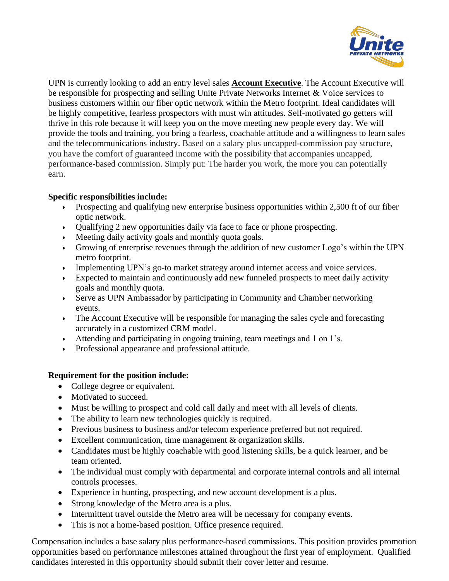

UPN is currently looking to add an entry level sales **Account Executive**. The Account Executive will be responsible for prospecting and selling Unite Private Networks Internet & Voice services to business customers within our fiber optic network within the Metro footprint. Ideal candidates will be highly competitive, fearless prospectors with must win attitudes. Self-motivated go getters will thrive in this role because it will keep you on the move meeting new people every day. We will provide the tools and training, you bring a fearless, coachable attitude and a willingness to learn sales and the telecommunications industry. Based on a salary plus uncapped-commission pay structure, you have the comfort of guaranteed income with the possibility that accompanies uncapped, performance-based commission. Simply put: The harder you work, the more you can potentially earn.

## **Specific responsibilities include:**

- Prospecting and qualifying new enterprise business opportunities within 2,500 ft of our fiber optic network.
- Qualifying 2 new opportunities daily via face to face or phone prospecting.
- Meeting daily activity goals and monthly quota goals.
- Growing of enterprise revenues through the addition of new customer Logo's within the UPN metro footprint.
- Implementing UPN's go-to market strategy around internet access and voice services.
- Expected to maintain and continuously add new funneled prospects to meet daily activity goals and monthly quota.
- Serve as UPN Ambassador by participating in Community and Chamber networking events.
- The Account Executive will be responsible for managing the sales cycle and forecasting accurately in a customized CRM model.
- Attending and participating in ongoing training, team meetings and 1 on 1's.
- Professional appearance and professional attitude.

## **Requirement for the position include:**

- College degree or equivalent.
- Motivated to succeed.
- Must be willing to prospect and cold call daily and meet with all levels of clients.
- The ability to learn new technologies quickly is required.
- Previous business to business and/or telecom experience preferred but not required.
- Excellent communication, time management & organization skills.
- Candidates must be highly coachable with good listening skills, be a quick learner, and be team oriented.
- The individual must comply with departmental and corporate internal controls and all internal controls processes.
- Experience in hunting, prospecting, and new account development is a plus.
- Strong knowledge of the Metro area is a plus.
- Intermittent travel outside the Metro area will be necessary for company events.
- This is not a home-based position. Office presence required.

Compensation includes a base salary plus performance-based commissions. This position provides promotion opportunities based on performance milestones attained throughout the first year of employment. Qualified candidates interested in this opportunity should submit their cover letter and resume.